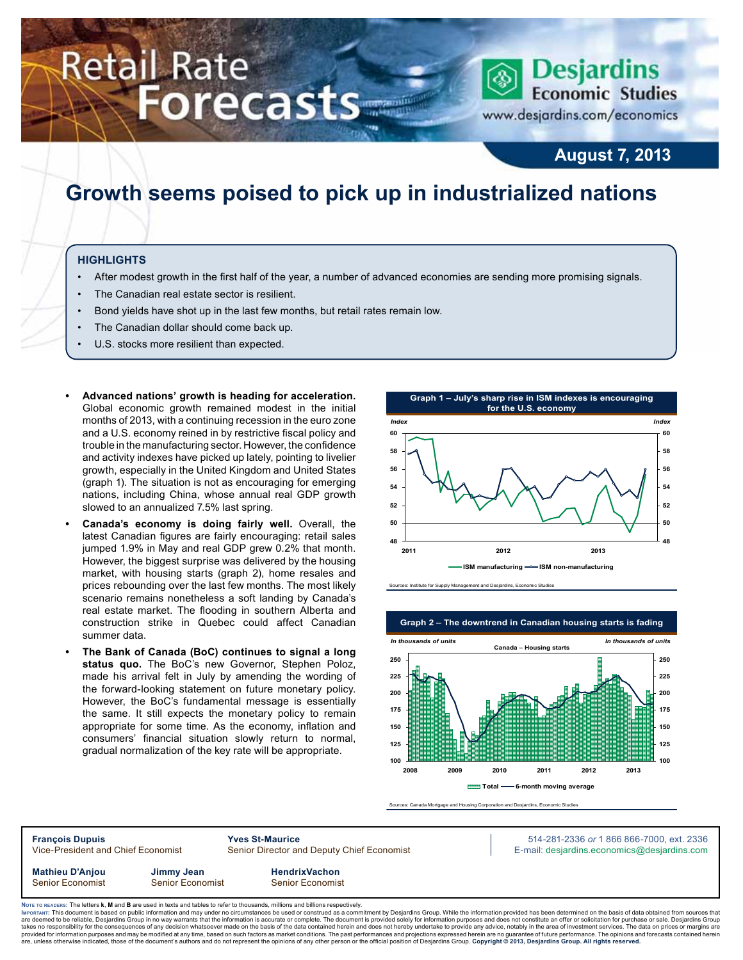# **Retail Rate Forecasts**

## www.desjardins.com/economics

**Economic Studies** 

**Desjardins** 

### **August 7, 2013**

### **Growth seems poised to pick up in industrialized nations**

#### **Highlights**

- After modest growth in the first half of the year, a number of advanced economies are sending more promising signals.
- The Canadian real estate sector is resilient.
- Bond yields have shot up in the last few months, but retail rates remain low.
- The Canadian dollar should come back up.
- U.S. stocks more resilient than expected.
- Advanced nations' growth is heading for acceleration. Global economic growth remained modest in the initial months of 2013, with a continuing recession in the euro zone and a U.S. economy reined in by restrictive fiscal policy and trouble in the manufacturing sector. However, the confidence and activity indexes have picked up lately, pointing to livelier growth, especially in the United Kingdom and United States (graph 1). The situation is not as encouraging for emerging nations, including China, whose annual real GDP growth slowed to an annualized 7.5% last spring.
- **• Canada's economy is doing fairly well.** Overall, the latest Canadian figures are fairly encouraging: retail sales jumped 1.9% in May and real GDP grew 0.2% that month. However, the biggest surprise was delivered by the housing market, with housing starts (graph 2), home resales and prices rebounding over the last few months. The most likely scenario remains nonetheless a soft landing by Canada's real estate market. The flooding in southern Alberta and construction strike in Quebec could affect Canadian summer data.
- **• The Bank of Canada (BoC) continues to signal a long status quo.** The BoC's new Governor, Stephen Poloz, made his arrival felt in July by amending the wording of the forward-looking statement on future monetary policy. However, the BoC's fundamental message is essentially the same. It still expects the monetary policy to remain appropriate for some time. As the economy, inflation and consumers' financial situation slowly return to normal, gradual normalization of the key rate will be appropriate.



Sources: Institute for Supply Management and Desjardins, Economic Studies



Sources: Canada Mortgage and Housing Corporation and Desjardins, Economic Studies

**François Dupuis Yves St-Maurice** 514-281-2336 *or* 1 866 866-7000, ext. 2336 Vice-President and Chief Economist Senior Director and Deputy Chief Economist E-mail: desjardins.economics@desjardins.com **Mathieu D'Anjou Jimmy Jean HendrixVachon** Senior Economist Senior Economist Senior Economist

Noте то келоекs: The letters **k, M** and **B** are used in texts and tables to refer to thousands, millions and billions respectively.<br>Імроктлит: This document is based on public information and may under no circumstances be are deemed to be reliable, Desjardins Group in no way warrants that the information is accurate or complete. The document is provided solely for information purposes and does not constitute an offer or solicitation for pur takes no responsibility for the consequences of any decision whatsoever made on the basis of the data contained herein and does not hereby undertake to provide any advice, notably in the area of investment services. The da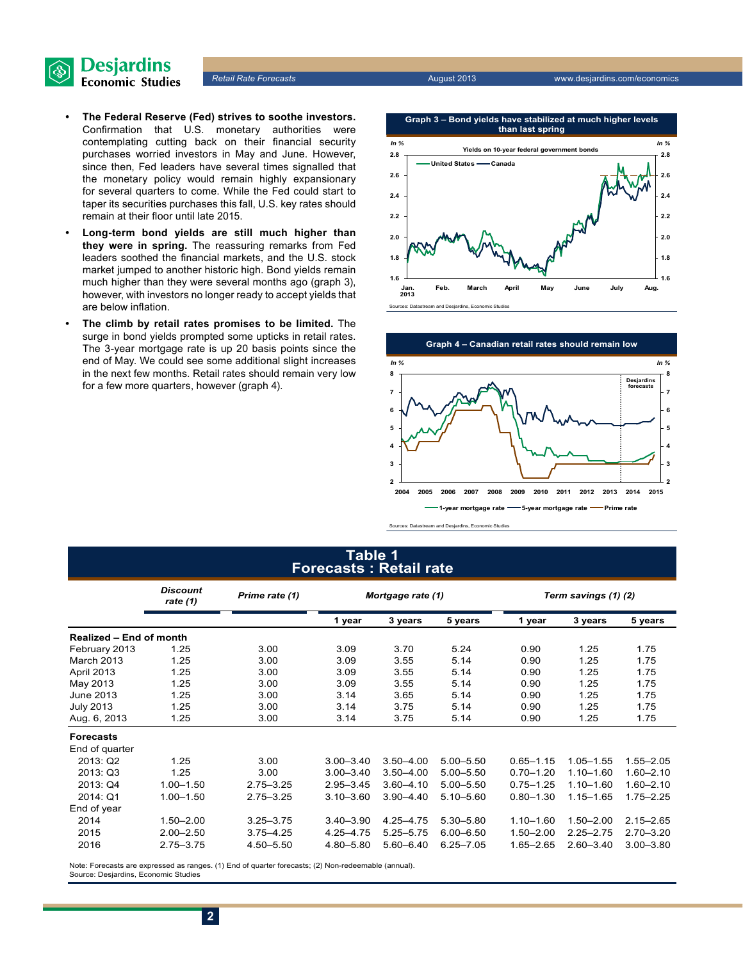

- **• The Federal Reserve (Fed) strives to soothe investors.**  Confirmation that U.S. monetary authorities were contemplating cutting back on their financial security purchases worried investors in May and June. However, since then, Fed leaders have several times signalled that the monetary policy would remain highly expansionary for several quarters to come. While the Fed could start to taper its securities purchases this fall, U.S. key rates should remain at their floor until late 2015.
- **• Long-term bond yields are still much higher than they were in spring.** The reassuring remarks from Fed leaders soothed the financial markets, and the U.S. stock market jumped to another historic high. Bond yields remain much higher than they were several months ago (graph 3), however, with investors no longer ready to accept yields that are below inflation.
- **The climb by retail rates promises to be limited.** The surge in bond yields prompted some upticks in retail rates. The 3-year mortgage rate is up 20 basis points since the end of May. We could see some additional slight increases in the next few months. Retail rates should remain very low for a few more quarters, however (graph 4).





#### **Table 1 Forecasts : Retail rate**

|                                | <b>Discount</b><br>rate $(1)$ | Prime rate (1) | Mortgage rate (1) |               |               | Term savings (1) (2) |               |               |  |
|--------------------------------|-------------------------------|----------------|-------------------|---------------|---------------|----------------------|---------------|---------------|--|
|                                |                               |                | 1 year            | 3 years       | 5 years       | 1 year               | 3 years       | 5 years       |  |
| <b>Realized - End of month</b> |                               |                |                   |               |               |                      |               |               |  |
| February 2013                  | 1.25                          | 3.00           | 3.09              | 3.70          | 5.24          | 0.90                 | 1.25          | 1.75          |  |
| <b>March 2013</b>              | 1.25                          | 3.00           | 3.09              | 3.55          | 5.14          | 0.90                 | 1.25          | 1.75          |  |
| April 2013                     | 1.25                          | 3.00           | 3.09              | 3.55          | 5.14          | 0.90                 | 1.25          | 1.75          |  |
| May 2013                       | 1.25                          | 3.00           | 3.09              | 3.55          | 5.14          | 0.90                 | 1.25          | 1.75          |  |
| <b>June 2013</b>               | 1.25                          | 3.00           | 3.14              | 3.65          | 5.14          | 0.90                 | 1.25          | 1.75          |  |
| <b>July 2013</b>               | 1.25                          | 3.00           | 3.14              | 3.75          | 5.14          | 0.90                 | 1.25          | 1.75          |  |
| Aug. 6, 2013                   | 1.25                          | 3.00           | 3.14              | 3.75          | 5.14          | 0.90                 | 1.25          | 1.75          |  |
| <b>Forecasts</b>               |                               |                |                   |               |               |                      |               |               |  |
| End of quarter                 |                               |                |                   |               |               |                      |               |               |  |
| 2013: Q2                       | 1.25                          | 3.00           | $3.00 - 3.40$     | $3.50 - 4.00$ | $5.00 - 5.50$ | $0.65 - 1.15$        | $1.05 - 1.55$ | $1.55 - 2.05$ |  |
| 2013: Q3                       | 1.25                          | 3.00           | $3.00 - 3.40$     | $3.50 - 4.00$ | $5.00 - 5.50$ | $0.70 - 1.20$        | $1.10 - 1.60$ | $1.60 - 2.10$ |  |
| 2013: Q4                       | $1.00 - 1.50$                 | $2.75 - 3.25$  | $2.95 - 3.45$     | $3.60 - 4.10$ | 5.00 - 5.50   | $0.75 - 1.25$        | $1.10 - 1.60$ | $1.60 - 2.10$ |  |
| 2014: Q1                       | $1.00 - 1.50$                 | $2.75 - 3.25$  | $3.10 - 3.60$     | $3.90 - 4.40$ | 5.10-5.60     | $0.80 - 1.30$        | $1.15 - 1.65$ | $1.75 - 2.25$ |  |
| End of year                    |                               |                |                   |               |               |                      |               |               |  |
| 2014                           | $1.50 - 2.00$                 | $3.25 - 3.75$  | $3.40 - 3.90$     | 4.25 - 4.75   | 5.30 - 5.80   | $1.10 - 1.60$        | $1.50 - 2.00$ | $2.15 - 2.65$ |  |
| 2015                           | $2.00 - 2.50$                 | $3.75 - 4.25$  | $4.25 - 4.75$     | $5.25 - 5.75$ | $6.00 - 6.50$ | $1.50 - 2.00$        | $2.25 - 2.75$ | $2.70 - 3.20$ |  |
| 2016                           | $2.75 - 3.75$                 | 4.50-5.50      | 4.80-5.80         | $5.60 - 6.40$ | $6.25 - 7.05$ | $1.65 - 2.65$        | $2.60 - 3.40$ | $3.00 - 3.80$ |  |
|                                |                               |                |                   |               |               |                      |               |               |  |

Note: Forecasts are expressed as ranges. (1) End of quarter forecasts; (2) Non-redeemable (annual). Source: Desjardins, Economic Studies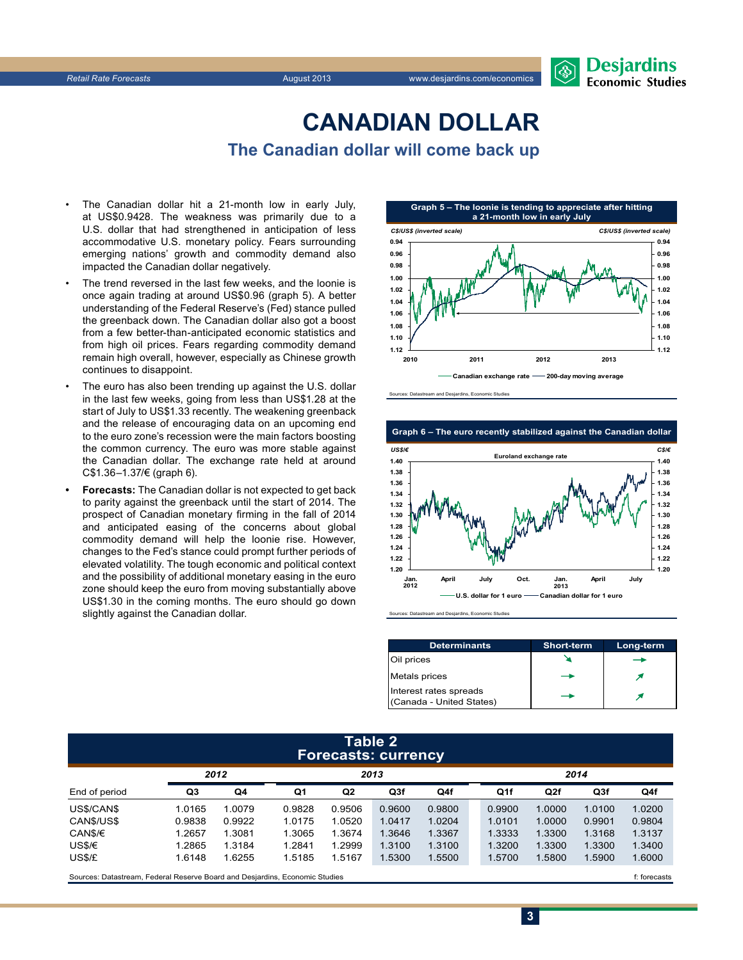

### **CanadiAn Dollar The Canadian dollar will come back up**

- The Canadian dollar hit a 21-month low in early July, at US\$0.9428. The weakness was primarily due to a U.S. dollar that had strengthened in anticipation of less accommodative U.S. monetary policy. Fears surrounding emerging nations' growth and commodity demand also impacted the Canadian dollar negatively.
- The trend reversed in the last few weeks, and the loonie is once again trading at around US\$0.96 (graph 5). A better understanding of the Federal Reserve's (Fed) stance pulled the greenback down. The Canadian dollar also got a boost from a few better-than-anticipated economic statistics and from high oil prices. Fears regarding commodity demand remain high overall, however, especially as Chinese growth continues to disappoint.
- The euro has also been trending up against the U.S. dollar in the last few weeks, going from less than US\$1.28 at the start of July to US\$1.33 recently. The weakening greenback and the release of encouraging data on an upcoming end to the euro zone's recession were the main factors boosting the common currency. The euro was more stable against the Canadian dollar. The exchange rate held at around C\$1.36–1.37/€ (graph 6).
- **Forecasts:** The Canadian dollar is not expected to get back to parity against the greenback until the start of 2014. The prospect of Canadian monetary firming in the fall of 2014 and anticipated easing of the concerns about global commodity demand will help the loonie rise. However, changes to the Fed's stance could prompt further periods of elevated volatility. The tough economic and political context and the possibility of additional monetary easing in the euro zone should keep the euro from moving substantially above US\$1.30 in the coming months. The euro should go down slightly against the Canadian dollar.



Sources: Datastream and Desjardins, Economic Studies



Sources: Datastream and Desjardins, Economic Studies

| <b>Determinants</b>                                | <b>Short-term</b> | Long-term |
|----------------------------------------------------|-------------------|-----------|
| Oil prices                                         |                   |           |
| Metals prices                                      |                   |           |
| Interest rates spreads<br>(Canada - United States) |                   |           |

#### **Table 2 Forecasts: currency**

|               | -      |        |        |        |        |        |  |        |        |                 |        |
|---------------|--------|--------|--------|--------|--------|--------|--|--------|--------|-----------------|--------|
|               | 2012   |        | 2013   |        |        |        |  | 2014   |        |                 |        |
| End of period | Q3     | Q4     | Q1     | Q2     | Q3f    | Q4f    |  | Q1f    | Q2f    | Q <sub>3f</sub> | Q4f    |
| US\$/CAN\$    | 1.0165 | 1.0079 | 0.9828 | 0.9506 | 0.9600 | 0.9800 |  | 0.9900 | 1.0000 | 1.0100          | 1.0200 |
| CANS/US\$     | 0.9838 | 0.9922 | 1.0175 | 1.0520 | 1.0417 | 1.0204 |  | 1.0101 | 1.0000 | 0.9901          | 0.9804 |
| CAN\$/€       | 1.2657 | 1.3081 | 1.3065 | 1.3674 | 1.3646 | 1.3367 |  | 1.3333 | 1.3300 | 1.3168          | 1.3137 |
| US\$/€        | 1.2865 | 1.3184 | 1.2841 | 1.2999 | 1.3100 | 1.3100 |  | 1.3200 | 1.3300 | 1.3300          | 1.3400 |
| US\$/£        | 1.6148 | .6255  | 1.5185 | 1.5167 | 1.5300 | 1.5500 |  | 1.5700 | 1.5800 | 1.5900          | 1.6000 |
|               |        |        |        |        |        |        |  |        |        |                 |        |

Sources: Datastream, Federal Reserve Board and Desjardins, Economic Studies file of the case of the case of the case of the case of the case of the case of the case of the case of the case of the case of the case of the ca

**3**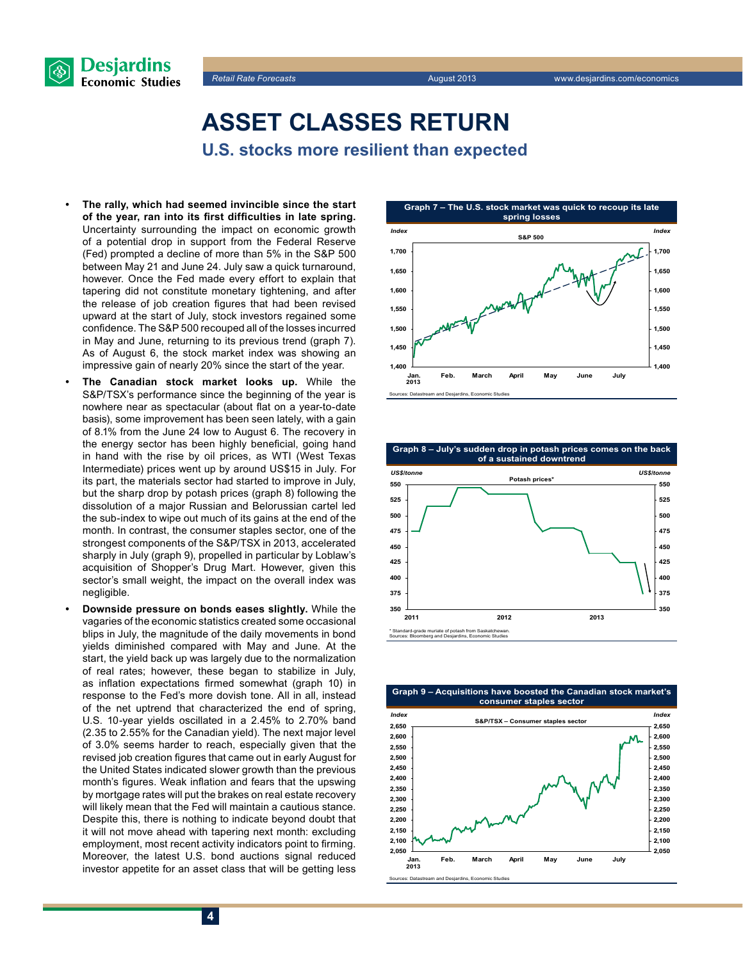



**Asset classes return U.S. stocks more resilient than expected**

- The rally, which had seemed invincible since the start **of the year, ran into its first difficulties in late spring.** Uncertainty surrounding the impact on economic growth of a potential drop in support from the Federal Reserve (Fed) prompted a decline of more than 5% in the S&P 500 between May 21 and June 24. July saw a quick turnaround, however. Once the Fed made every effort to explain that tapering did not constitute monetary tightening, and after the release of job creation figures that had been revised upward at the start of July, stock investors regained some confidence. The S&P 500 recouped all of the losses incurred in May and June, returning to its previous trend (graph 7). As of August 6, the stock market index was showing an impressive gain of nearly 20% since the start of the year.
- The Canadian stock market looks up. While the S&P/TSX's performance since the beginning of the year is nowhere near as spectacular (about flat on a year-to-date basis), some improvement has been seen lately, with a gain of 8.1% from the June 24 low to August 6. The recovery in the energy sector has been highly beneficial, going hand in hand with the rise by oil prices, as WTI (West Texas Intermediate) prices went up by around US\$15 in July. For its part, the materials sector had started to improve in July, but the sharp drop by potash prices (graph 8) following the dissolution of a major Russian and Belorussian cartel led the sub-index to wipe out much of its gains at the end of the month. In contrast, the consumer staples sector, one of the strongest components of the S&P/TSX in 2013, accelerated sharply in July (graph 9), propelled in particular by Loblaw's acquisition of Shopper's Drug Mart. However, given this sector's small weight, the impact on the overall index was negligible.
- **• Downside pressure on bonds eases slightly.** While the vagaries of the economic statistics created some occasional blips in July, the magnitude of the daily movements in bond yields diminished compared with May and June. At the start, the yield back up was largely due to the normalization of real rates; however, these began to stabilize in July, as inflation expectations firmed somewhat (graph 10) in response to the Fed's more dovish tone. All in all, instead of the net uptrend that characterized the end of spring, U.S. 10-year yields oscillated in a 2.45% to 2.70% band (2.35 to 2.55% for the Canadian yield). The next major level of 3.0% seems harder to reach, especially given that the revised job creation figures that came out in early August for the United States indicated slower growth than the previous month's figures. Weak inflation and fears that the upswing by mortgage rates will put the brakes on real estate recovery will likely mean that the Fed will maintain a cautious stance. Despite this, there is nothing to indicate beyond doubt that it will not move ahead with tapering next month: excluding employment, most recent activity indicators point to firming. Moreover, the latest U.S. bond auctions signal reduced investor appetite for an asset class that will be getting less